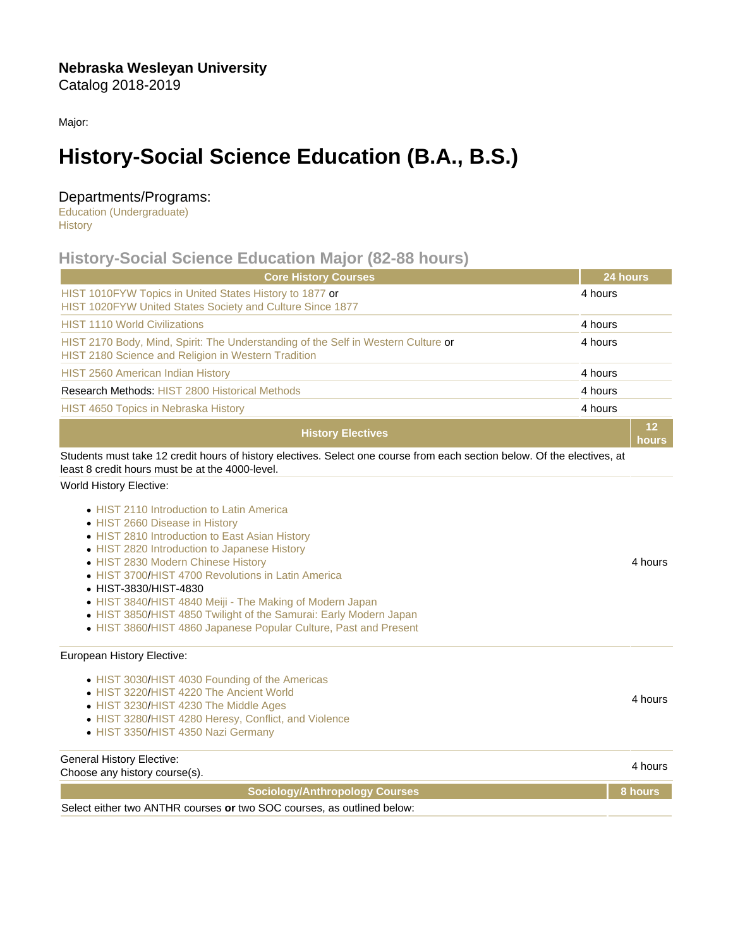Major:

# History-Social Science Education (B.A., B.S.)

### Departments/Programs:

[Education \(Undergraduate\)](https://catalog.nebrwesleyan.edu/cc/2018-2019/department/330852) **[History](https://catalog.nebrwesleyan.edu/cc/2018-2019/department/330857)** 

## History-Social Science Education Major (82-88 hours)

| <b>Core History Courses</b>                                                                                                                                                                                                                                                                                                                                                                                                                                                                                                        | 24 hours |                    |
|------------------------------------------------------------------------------------------------------------------------------------------------------------------------------------------------------------------------------------------------------------------------------------------------------------------------------------------------------------------------------------------------------------------------------------------------------------------------------------------------------------------------------------|----------|--------------------|
| HIST 1010FYW Topics in United States History to 1877 or<br>HIST 1020FYW United States Society and Culture Since 1877                                                                                                                                                                                                                                                                                                                                                                                                               | 4 hours  |                    |
| <b>HIST 1110 World Civilizations</b>                                                                                                                                                                                                                                                                                                                                                                                                                                                                                               | 4 hours  |                    |
| HIST 2170 Body, Mind, Spirit: The Understanding of the Self in Western Culture or<br>HIST 2180 Science and Religion in Western Tradition                                                                                                                                                                                                                                                                                                                                                                                           | 4 hours  |                    |
| HIST 2560 American Indian History                                                                                                                                                                                                                                                                                                                                                                                                                                                                                                  | 4 hours  |                    |
| <b>Research Methods: HIST 2800 Historical Methods</b>                                                                                                                                                                                                                                                                                                                                                                                                                                                                              | 4 hours  |                    |
| <b>HIST 4650 Topics in Nebraska History</b>                                                                                                                                                                                                                                                                                                                                                                                                                                                                                        | 4 hours  |                    |
| <b>History Electives</b>                                                                                                                                                                                                                                                                                                                                                                                                                                                                                                           |          | 12<br>hours        |
| Students must take 12 credit hours of history electives. Select one course from each section below. Of the electives, at<br>least 8 credit hours must be at the 4000-level.                                                                                                                                                                                                                                                                                                                                                        |          |                    |
| World History Elective:<br>• HIST 2110 Introduction to Latin America<br>• HIST 2660 Disease in History<br>• HIST 2810 Introduction to East Asian History<br>• HIST 2820 Introduction to Japanese History<br>• HIST 2830 Modern Chinese History<br>• HIST 3700/HIST 4700 Revolutions in Latin America<br>• HIST-3830/HIST-4830<br>• HIST 3840/HIST 4840 Meiji - The Making of Modern Japan<br>• HIST 3850/HIST 4850 Twilight of the Samurai: Early Modern Japan<br>• HIST 3860/HIST 4860 Japanese Popular Culture, Past and Present |          | 4 hours            |
| European History Elective:<br>• HIST 3030/HIST 4030 Founding of the Americas<br>• HIST 3220/HIST 4220 The Ancient World<br>• HIST 3230/HIST 4230 The Middle Ages<br>• HIST 3280/HIST 4280 Heresy, Conflict, and Violence<br>• HIST 3350/HIST 4350 Nazi Germany<br><b>General History Elective:</b>                                                                                                                                                                                                                                 |          | 4 hours<br>4 hours |
| Choose any history course(s).                                                                                                                                                                                                                                                                                                                                                                                                                                                                                                      |          | 8 hours            |
| Sociology/Anthropology Courses<br>Select either two ANTHR courses or two SOC courses, as outlined below:                                                                                                                                                                                                                                                                                                                                                                                                                           |          |                    |
|                                                                                                                                                                                                                                                                                                                                                                                                                                                                                                                                    |          |                    |